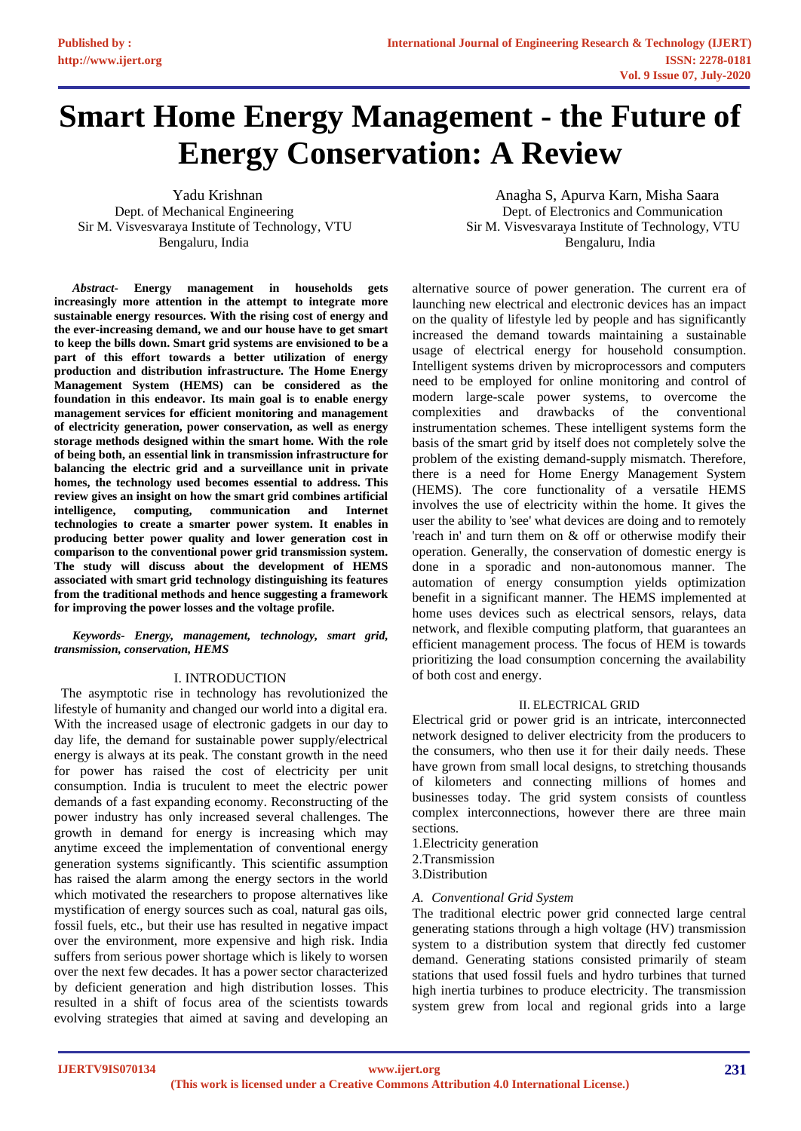# **Smart Home Energy Management - the Future of Energy Conservation: A Review**

Bengaluru, India Bengaluru, India

*Abstract***- Energy management in households gets increasingly more attention in the attempt to integrate more sustainable energy resources. With the rising cost of energy and the ever-increasing demand, we and our house have to get smart to keep the bills down. Smart grid systems are envisioned to be a part of this effort towards a better utilization of energy production and distribution infrastructure. The Home Energy Management System (HEMS) can be considered as the foundation in this endeavor. Its main goal is to enable energy management services for efficient monitoring and management of electricity generation, power conservation, as well as energy storage methods designed within the smart home. With the role of being both, an essential link in transmission infrastructure for balancing the electric grid and a surveillance unit in private homes, the technology used becomes essential to address. This review gives an insight on how the smart grid combines artificial intelligence, computing, communication and Internet technologies to create a smarter power system. It enables in producing better power quality and lower generation cost in comparison to the conventional power grid transmission system. The study will discuss about the development of HEMS associated with smart grid technology distinguishing its features from the traditional methods and hence suggesting a framework for improving the power losses and the voltage profile.**

#### *Keywords- Energy, management, technology, smart grid, transmission, conservation, HEMS*

## I. INTRODUCTION

 The asymptotic rise in technology has revolutionized the lifestyle of humanity and changed our world into a digital era. With the increased usage of electronic gadgets in our day to day life, the demand for sustainable power supply/electrical energy is always at its peak. The constant growth in the need for power has raised the cost of electricity per unit consumption. India is truculent to meet the electric power demands of a fast expanding economy. Reconstructing of the power industry has only increased several challenges. The growth in demand for energy is increasing which may anytime exceed the implementation of conventional energy generation systems significantly. This scientific assumption has raised the alarm among the energy sectors in the world which motivated the researchers to propose alternatives like mystification of energy sources such as coal, natural gas oils, fossil fuels, etc., but their use has resulted in negative impact over the environment, more expensive and high risk. India suffers from serious power shortage which is likely to worsen over the next few decades. It has a power sector characterized by deficient generation and high distribution losses. This resulted in a shift of focus area of the scientists towards evolving strategies that aimed at saving and developing an

Yadu Krishnan Anagha S, Apurva Karn, Misha Saara Dept. of Mechanical Engineering Theorem 2012 Contraction Dept. of Electronics and Communication Sir M. Visvesvaraya Institute of Technology, VTU Sir M. Visvesvaraya Institute of Technology, VTU

> alternative source of power generation. The current era of launching new electrical and electronic devices has an impact on the quality of lifestyle led by people and has significantly increased the demand towards maintaining a sustainable usage of electrical energy for household consumption. Intelligent systems driven by microprocessors and computers need to be employed for online monitoring and control of modern large-scale power systems, to overcome the complexities and drawbacks of the conventional complexities and drawbacks of the conventional instrumentation schemes. These intelligent systems form the basis of the smart grid by itself does not completely solve the problem of the existing demand-supply mismatch. Therefore, there is a need for Home Energy Management System (HEMS). The core functionality of a versatile HEMS involves the use of electricity within the home. It gives the user the ability to 'see' what devices are doing and to remotely 'reach in' and turn them on & off or otherwise modify their operation. Generally, the conservation of domestic energy is done in a sporadic and non-autonomous manner. The automation of energy consumption yields optimization benefit in a significant manner. The HEMS implemented at home uses devices such as electrical sensors, relays, data network, and flexible computing platform, that guarantees an efficient management process. The focus of HEM is towards prioritizing the load consumption concerning the availability of both cost and energy.

#### II. ELECTRICAL GRID

Electrical grid or power grid is an intricate, interconnected network designed to deliver electricity from the producers to the consumers, who then use it for their daily needs. These have grown from small local designs, to stretching thousands of kilometers and connecting millions of homes and businesses today. The grid system consists of countless complex interconnections, however there are three main sections.

- 1.Electricity generation
- 2.Transmission

3.Distribution

## *A. Conventional Grid System*

The traditional electric power grid connected large central generating stations through a high voltage (HV) transmission system to a distribution system that directly fed customer demand. Generating stations consisted primarily of steam stations that used fossil fuels and hydro turbines that turned high inertia turbines to produce electricity. The transmission system grew from local and regional grids into a large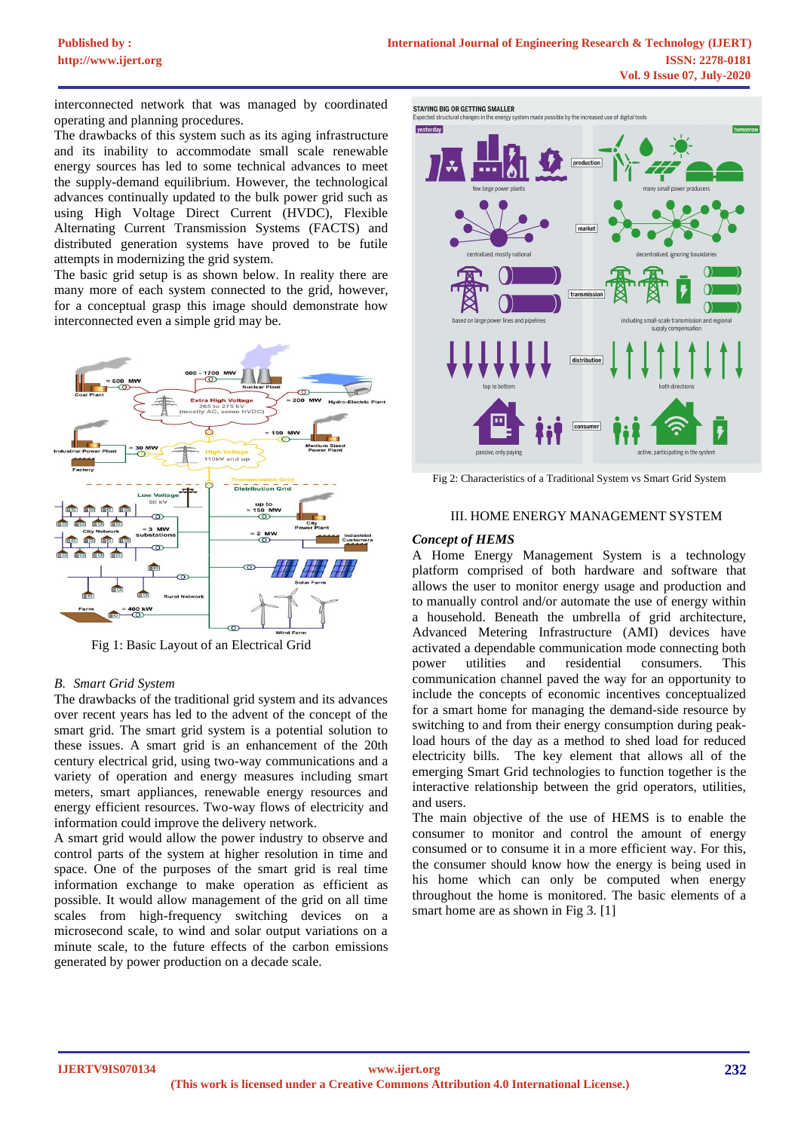interconnected network that was managed by coordinated operating and planning procedures.

The drawbacks of this system such as its aging infrastructure and its inability to accommodate small scale renewable energy sources has led to some technical advances to meet the supply-demand equilibrium. However, the technological advances continually updated to the bulk power grid such as using High Voltage Direct Current (HVDC), Flexible Alternating Current Transmission Systems (FACTS) and distributed generation systems have proved to be futile attempts in modernizing the grid system.

The basic grid setup is as shown below. In reality there are many more of each system connected to the grid, however, for a conceptual grasp this image should demonstrate how interconnected even a simple grid may be.



Fig 1: Basic Layout of an Electrical Grid

## *B. Smart Grid System*

The drawbacks of the traditional grid system and its advances over recent years has led to the advent of the concept of the smart grid. The smart grid system is a potential solution to these issues. A smart grid is an enhancement of the 20th century electrical grid, using two-way communications and a variety of operation and energy measures including smart meters, smart appliances, renewable energy resources and energy efficient resources. Two-way flows of electricity and information could improve the delivery network.

A smart grid would allow the power industry to observe and control parts of the system at higher resolution in time and space. One of the purposes of the smart grid is real time information exchange to make operation as efficient as possible. It would allow management of the grid on all time scales from high-frequency switching devices on a microsecond scale, to wind and solar output variations on a minute scale, to the future effects of the carbon emissions generated by power production on a decade scale.



Fig 2: Characteristics of a Traditional System vs Smart Grid System

### III. HOME ENERGY MANAGEMENT SYSTEM

### *Concept of HEMS*

A Home Energy Management System is a technology platform comprised of both hardware and software that allows the user to monitor energy usage and production and to manually control and/or automate the use of energy within a household. Beneath the umbrella of grid architecture, Advanced Metering Infrastructure (AMI) devices have activated a dependable communication mode connecting both power utilities and residential consumers. This communication channel paved the way for an opportunity to include the concepts of economic incentives conceptualized for a smart home for managing the demand-side resource by switching to and from their energy consumption during peakload hours of the day as a method to shed load for reduced electricity bills. The key element that allows all of the emerging Smart Grid technologies to function together is the interactive relationship between the grid operators, utilities, and users.

The main objective of the use of HEMS is to enable the consumer to monitor and control the amount of energy consumed or to consume it in a more efficient way. For this, the consumer should know how the energy is being used in his home which can only be computed when energy throughout the home is monitored. The basic elements of a smart home are as shown in Fig 3. [1]

**IJERTV9IS070134**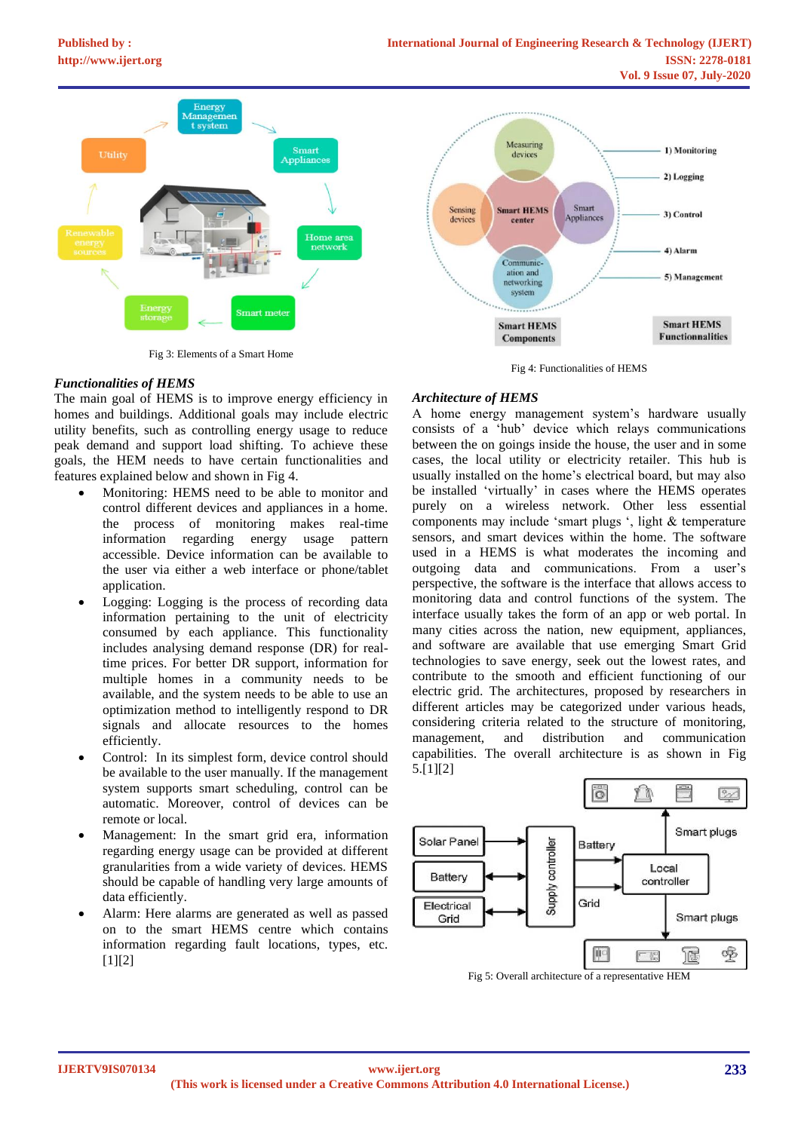

Fig 3: Elements of a Smart Home

# *Functionalities of HEMS*

The main goal of HEMS is to improve energy efficiency in homes and buildings. Additional goals may include electric utility benefits, such as controlling energy usage to reduce peak demand and support load shifting. To achieve these goals, the HEM needs to have certain functionalities and features explained below and shown in Fig 4.

- Monitoring: HEMS need to be able to monitor and control different devices and appliances in a home. the process of monitoring makes real-time information regarding energy usage pattern accessible. Device information can be available to the user via either a web interface or phone/tablet application.
- Logging: Logging is the process of recording data information pertaining to the unit of electricity consumed by each appliance. This functionality includes analysing demand response (DR) for realtime prices. For better DR support, information for multiple homes in a community needs to be available, and the system needs to be able to use an optimization method to intelligently respond to DR signals and allocate resources to the homes efficiently.
- Control: In its simplest form, device control should be available to the user manually. If the management system supports smart scheduling, control can be automatic. Moreover, control of devices can be remote or local.
- Management: In the smart grid era, information regarding energy usage can be provided at different granularities from a wide variety of devices. HEMS should be capable of handling very large amounts of data efficiently.
- Alarm: Here alarms are generated as well as passed on to the smart HEMS centre which contains information regarding fault locations, types, etc. [1][2]





## *Architecture of HEMS*

A home energy management system's hardware usually consists of a 'hub' device which relays communications between the on goings inside the house, the user and in some cases, the local utility or electricity retailer. This hub is usually installed on the home's electrical board, but may also be installed 'virtually' in cases where the HEMS operates purely on a wireless network. Other less essential components may include 'smart plugs ', light & temperature sensors, and smart devices within the home. The software used in a HEMS is what moderates the incoming and outgoing data and communications. From a user's perspective, the software is the interface that allows access to monitoring data and control functions of the system. The interface usually takes the form of an app or web portal. In many cities across the nation, new equipment, appliances, and software are available that use emerging Smart Grid technologies to save energy, seek out the lowest rates, and contribute to the smooth and efficient functioning of our electric grid. The architectures, proposed by researchers in different articles may be categorized under various heads, considering criteria related to the structure of monitoring, management, and distribution and communication capabilities. The overall architecture is as shown in Fig 5.[1][2]



Fig 5: Overall architecture of a representative HEM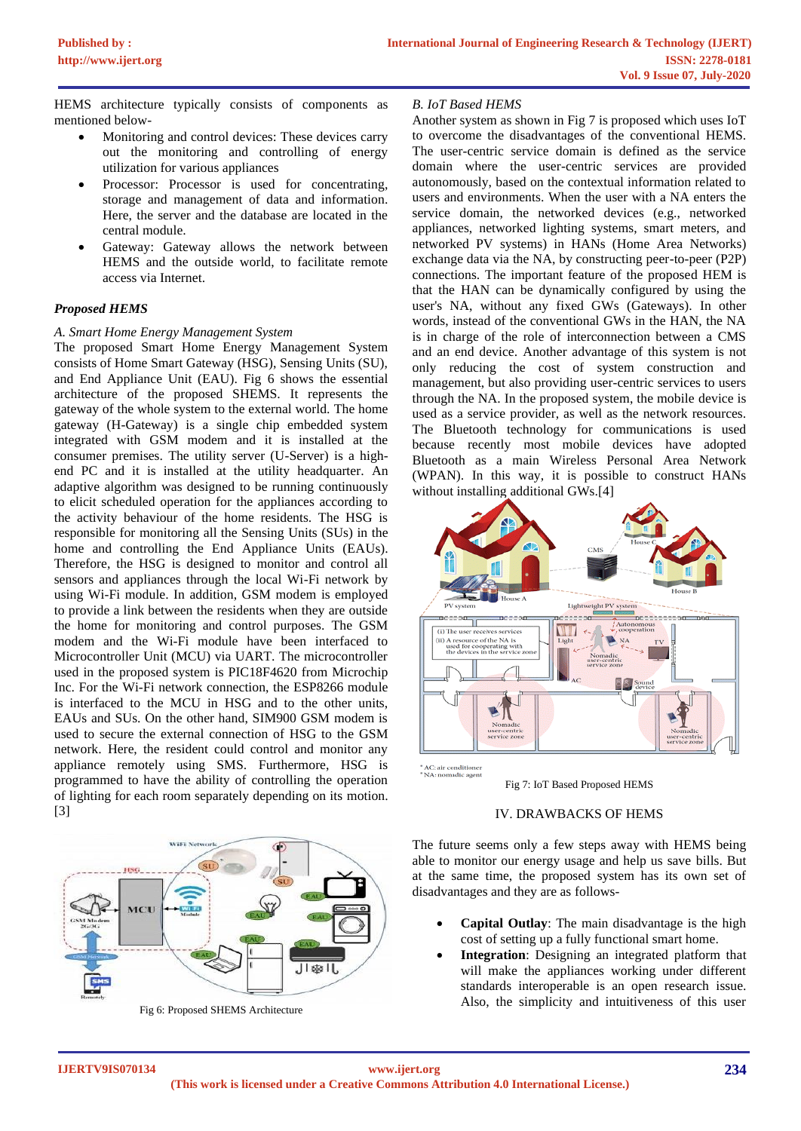HEMS architecture typically consists of components as mentioned below-

- Monitoring and control devices: These devices carry out the monitoring and controlling of energy utilization for various appliances
- Processor: Processor is used for concentrating, storage and management of data and information. Here, the server and the database are located in the central module.
- Gateway: Gateway allows the network between HEMS and the outside world, to facilitate remote access via Internet.

# *Proposed HEMS*

# *A. Smart Home Energy Management System*

The proposed Smart Home Energy Management System consists of Home Smart Gateway (HSG), Sensing Units (SU), and End Appliance Unit (EAU). Fig 6 shows the essential architecture of the proposed SHEMS. It represents the gateway of the whole system to the external world. The home gateway (H-Gateway) is a single chip embedded system integrated with GSM modem and it is installed at the consumer premises. The utility server (U-Server) is a highend PC and it is installed at the utility headquarter. An adaptive algorithm was designed to be running continuously to elicit scheduled operation for the appliances according to the activity behaviour of the home residents. The HSG is responsible for monitoring all the Sensing Units (SUs) in the home and controlling the End Appliance Units (EAUs). Therefore, the HSG is designed to monitor and control all sensors and appliances through the local Wi-Fi network by using Wi-Fi module. In addition, GSM modem is employed to provide a link between the residents when they are outside the home for monitoring and control purposes. The GSM modem and the Wi-Fi module have been interfaced to Microcontroller Unit (MCU) via UART. The microcontroller used in the proposed system is PIC18F4620 from Microchip Inc. For the Wi-Fi network connection, the ESP8266 module is interfaced to the MCU in HSG and to the other units, EAUs and SUs. On the other hand, SIM900 GSM modem is used to secure the external connection of HSG to the GSM network. Here, the resident could control and monitor any appliance remotely using SMS. Furthermore, HSG is programmed to have the ability of controlling the operation of lighting for each room separately depending on its motion. [3]



Fig 6: Proposed SHEMS Architecture

## *B. IoT Based HEMS*

Another system as shown in Fig 7 is proposed which uses IoT to overcome the disadvantages of the conventional HEMS. The user-centric service domain is defined as the service domain where the user-centric services are provided autonomously, based on the contextual information related to users and environments. When the user with a NA enters the service domain, the networked devices (e.g., networked appliances, networked lighting systems, smart meters, and networked PV systems) in HANs (Home Area Networks) exchange data via the NA, by constructing peer-to-peer (P2P) connections. The important feature of the proposed HEM is that the HAN can be dynamically configured by using the user's NA, without any fixed GWs (Gateways). In other words, instead of the conventional GWs in the HAN, the NA is in charge of the role of interconnection between a CMS and an end device. Another advantage of this system is not only reducing the cost of system construction and management, but also providing user-centric services to users through the NA. In the proposed system, the mobile device is used as a service provider, as well as the network resources. The Bluetooth technology for communications is used because recently most mobile devices have adopted Bluetooth as a main Wireless Personal Area Network (WPAN). In this way, it is possible to construct HANs [without installing additional GWs.\[4\]](https://journals.sagepub.com/doi/full/10.1155/2015/828023)



AC: air conditioner<br>'NA: nomadic agent

Fig 7: IoT Based Proposed HEMS

### IV. DRAWBACKS OF HEMS

The future seems only a few steps away with HEMS being able to monitor our energy usage and help us save bills. But at the same time, the proposed system has its own set of disadvantages and they are as follows-

- **Capital Outlay:** The main disadvantage is the high cost of setting up a fully functional smart home.
- Integration: Designing an integrated platform that will make the appliances working under different standards interoperable is an open research issue. Also, the simplicity and intuitiveness of this user